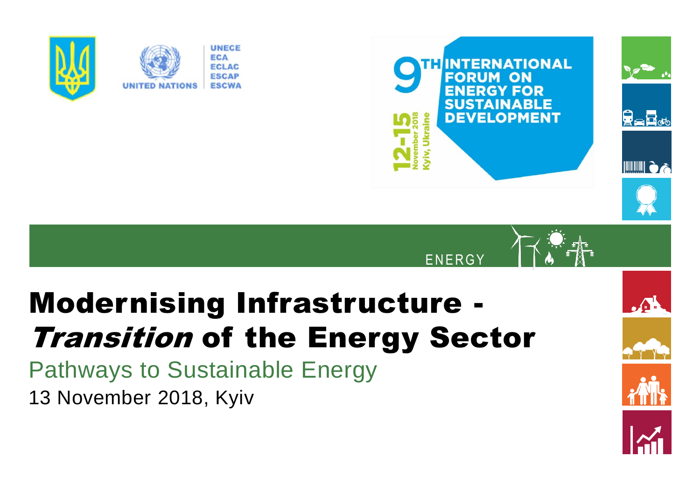



 $\sqrt{2}$ 

**ENERGY** 



Pathways to Sustainable Energy 13 November 2018, Kyiv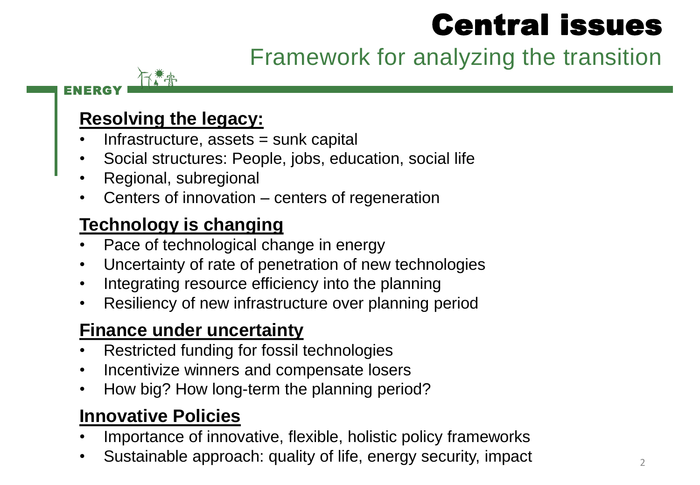# Central issues

Framework for analyzing the transition

#### ENERGY

#### **Resolving the legacy:**

- Infrastructure, assets = sunk capital
- Social structures: People, jobs, education, social life
- Regional, subregional
- Centers of innovation centers of regeneration

### **Technology is changing**

- Pace of technological change in energy
- Uncertainty of rate of penetration of new technologies
- Integrating resource efficiency into the planning
- Resiliency of new infrastructure over planning period

### **Finance under uncertainty**

- Restricted funding for fossil technologies
- Incentivize winners and compensate losers
- How big? How long-term the planning period?

### **Innovative Policies**

- Importance of innovative, flexible, holistic policy frameworks
- Sustainable approach: quality of life, energy security, impact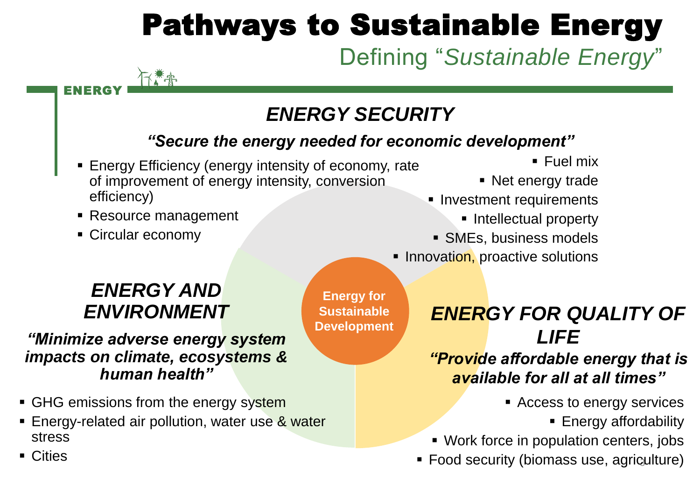# Pathways to Sustainable Energy

# Defining "*Sustainable Energy*"

## *ENERGY SECURITY*

#### *"Secure the energy needed for economic development"*

**Energy for Sustainable Development**

- Energy Efficiency (energy intensity of economy, rate of improvement of energy intensity, conversion efficiency)
- Resource management

下工作

■ Circular economy

ENERGY

- $\blacksquare$  Fuel mix
- Net energy trade
- **· Investment requirements** 
	- **·** Intellectual property
- SMEs, business models
- **E** Innovation, proactive solutions

### *ENERGY AND ENVIRONMENT*

#### *"Minimize adverse energy system impacts on climate, ecosystems & human health"*

- GHG emissions from the energy system
- **Energy-related air pollution, water use & water** stress

### *ENERGY FOR QUALITY OF LIFE*

#### *"Provide affordable energy that is available for all at all times"*

- Access to energy services
	- Energy affordability
- Work force in population centers, jobs
- **Food security (biomass use, agriculture)**

■ Cities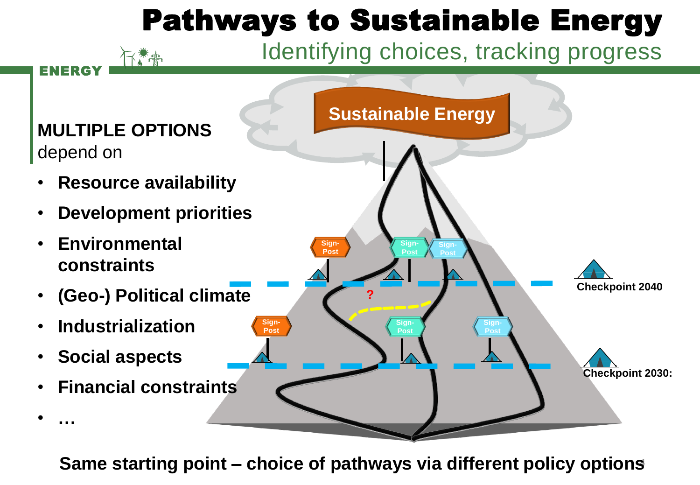# Pathways to Sustainable Energy

## Identifying choices, tracking progress



下着来

4 **Same starting point – choice of pathways via different policy options**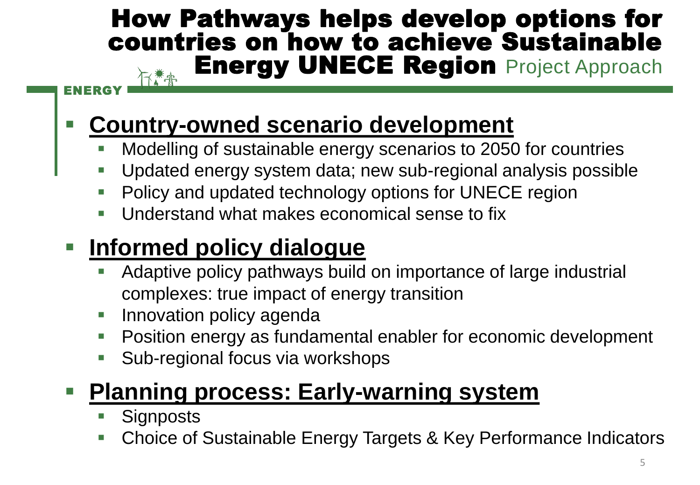## How Pathways helps develop options for countries on how to achieve Sustainable **Energy UNECE Region Project Approach**

#### ENERGY

## **Country-owned scenario development**

- Modelling of sustainable energy scenarios to 2050 for countries
- Updated energy system data; new sub-regional analysis possible
- Policy and updated technology options for UNECE region
- Understand what makes economical sense to fix

## ▪ **Informed policy dialogue**

- Adaptive policy pathways build on importance of large industrial complexes: true impact of energy transition
- **· Innovation policy agenda**
- Position energy as fundamental enabler for economic development
- Sub-regional focus via workshops

## ■ **Planning process: Early-warning system**

- Signposts
- Choice of Sustainable Energy Targets & Key Performance Indicators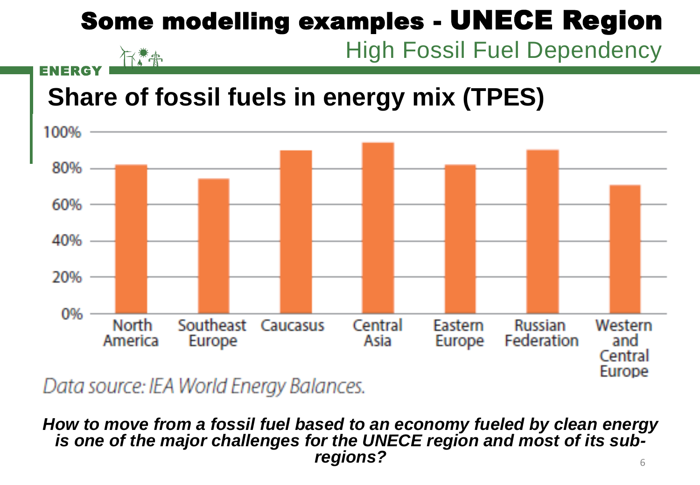# Some modelling examples - UNECE Region

High Fossil Fuel Dependency

#### 行常事 ENERGY

# **Share of fossil fuels in energy mix (TPES)**



Data source: IEA World Energy Balances.

#### 6 *How to move from a fossil fuel based to an economy fueled by clean energy is one of the major challenges for the UNECE region and most of its subregions?*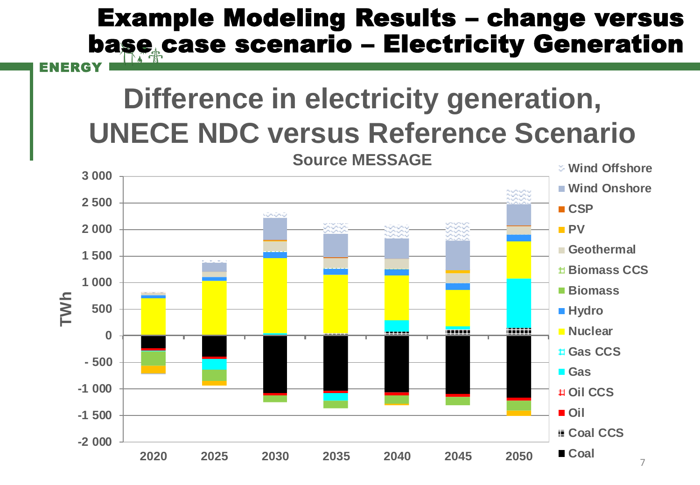## Example Modeling Results – change versus base case scenario - Electricity Generation

#### ENERGY

# **Difference in electricity generation, UNECE NDC versus Reference Scenario**

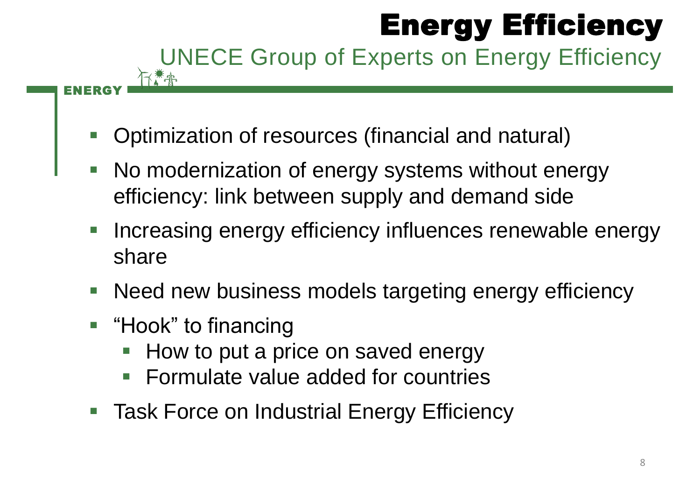# Energy Efficiency UNECE Group of Experts on Energy Efficiency

- Optimization of resources (financial and natural)
- No modernization of energy systems without energy efficiency: link between supply and demand side
- Increasing energy efficiency influences renewable energy share
- Need new business models targeting energy efficiency
- "Hook" to financing

ENERGY

- How to put a price on saved energy
- Formulate value added for countries
- Task Force on Industrial Energy Efficiency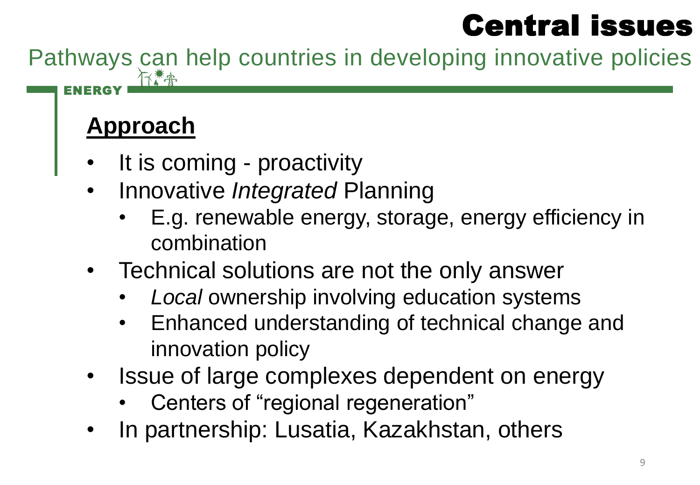# Central issues

Pathways can help countries in developing innovative policies

## **Approach**

ENERGY

- It is coming proactivity
- Innovative *Integrated* Planning
	- E.g. renewable energy, storage, energy efficiency in combination
- Technical solutions are not the only answer
	- *Local* ownership involving education systems
	- Enhanced understanding of technical change and innovation policy
- Issue of large complexes dependent on energy
	- Centers of "regional regeneration"
- In partnership: Lusatia, Kazakhstan, others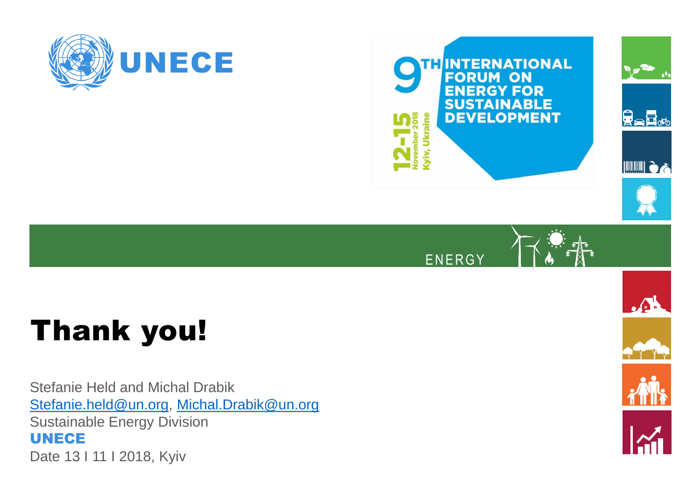





# Thank you!

Stefanie Held and Michal Drabik [Stefanie.held@un.org](mailto:Stefanie.held@un.org), [Michal.Drabik@un.org](mailto:Michal.Drabik@un.org) Sustainable Energy Division UNECE Date 13 I 11 I 2018, Kyiv

 $\mathcal{L}$ 





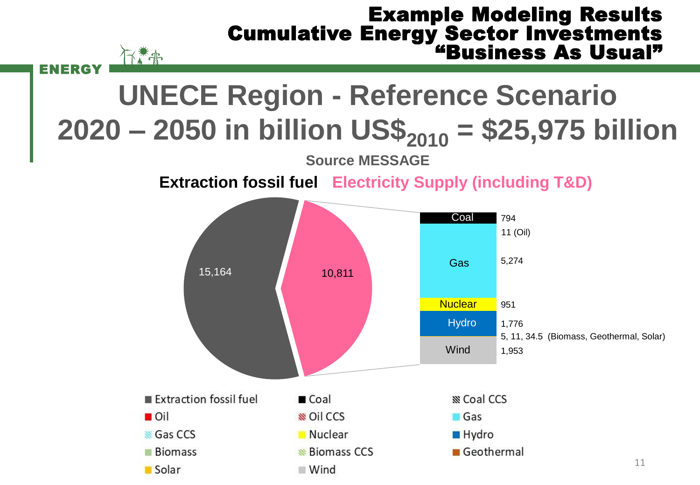#### Example Modeling Results Cumulative Energy Sector Investments "Business As Usual"

# **UNECE Region - Reference Scenario 2020 – 2050 in billion US\$<sup>2010</sup> = \$25,975 billion**

ENERGY

下之市